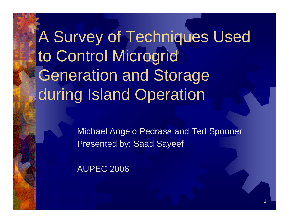## A Survey of Techniques Used to Control Microgrid Generation and Storage during Island Operation

Michael Angelo Pedrasa and Ted Spooner Presented by: Saad Sayeef

AUPEC 2006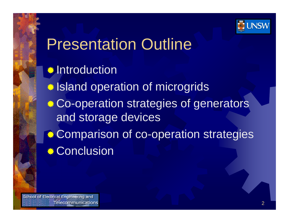

### Presentation Outline

**<del>☀</del> Introduction** *Internal Signal operation of microgrids* **Co-operation strategies of generators** and storage devices **Comparison of co-operation strategies Conclusion**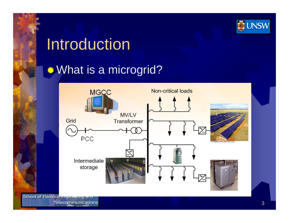

## Introduction

### **What is a microgrid?**

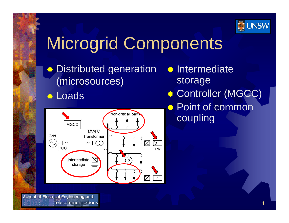

# Microgrid Components

兼 Distributed generation (microsources)

#### **. Loads**



- **Intermediate** storage **. Controller (MGCC)**
- **. ≉ Point of common** coupling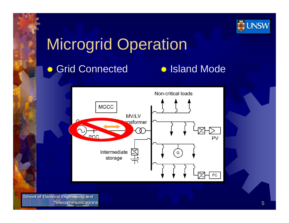

### Microgrid Operation

#### **● Grid Connected**

#### **. Island Mode**

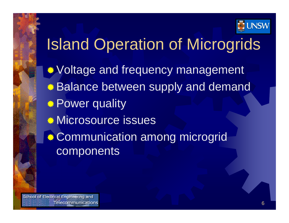

## Island Operation of Microgrids

**Woltage and frequency management Balance between supply and demand .\* Power quality Microsource issues Communication among microgrid** components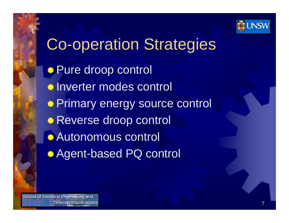

## Co-operation Strategies *S* Pure droop control Inverter modes control **Primary energy source control Reverse droop control** *<del>●</del>Autonomous control ★* **Agent-based PQ control**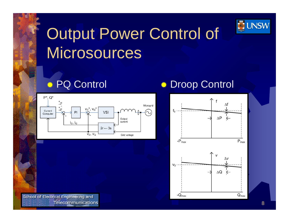

## Output Power Control of **Microsources**

#### **. PQ Control**



#### **<sup>●</sup> Droop Control**

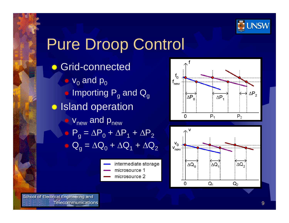

### Pure Droop Control

- **Grid-connected**  $\bullet$  v<sub>0</sub> and p<sub>0</sub>  $\bullet$  Importing  $\mathsf{P}_{\mathsf{g}}$  and  $\mathsf{Q}_{\mathsf{g}}$ **● Island operation**  $\bullet$  v<sub>new</sub> and p<sub>new</sub>  $\bullet$  P<sub>g</sub> =  $\Delta$ P<sub>0</sub> +  $\Delta$ P<sub>1</sub> +  $\Delta$ P<sub>2</sub>  $\bullet$  Q  $_{\rm g}$  =  $\Delta \mathsf{Q}_{\rm 0}$  +  $\Delta \mathsf{Q}_{\rm 1}$  +  $\Delta \mathsf{Q}_{\rm 2}$ 
	- intermediate storage microsource 1
	- microsource 2



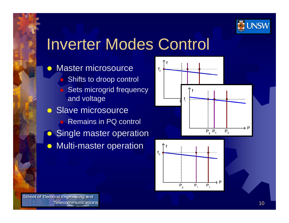

### Inverter Modes Control

- ☀ Master microsource O Shifts to droop control Sets microgrid frequency and voltage **Slave microsource Remains in PQ control ● Single master operation**
- 誉 Multi-master operation



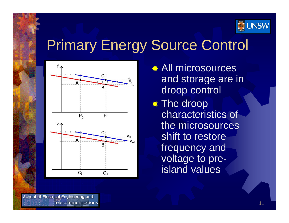

### Primary Energy Source Control



- *★* **All microsources** and storage are in droop control
- **☀ The droop** characteristics of the microsources shift to restore frequency and voltage to preisland values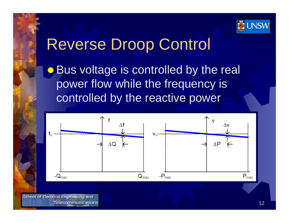

### Reverse Droop Control

 $\bullet$  **Bus voltage is controlled by the real** power flow while the frequency is controlled by the reactive power

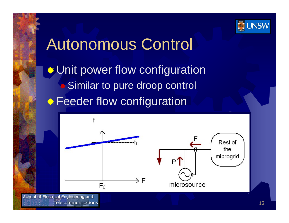

### Autonomous Control

**Unit power flow configuration** Similar to pure droop control **Feeder flow configuration** 

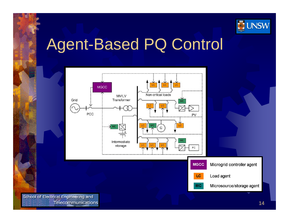

### Agent-Based PQ Control

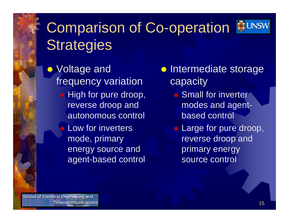### Comparison of Co-operation **Strategies**

**.\*** Voltage and frequency variation **High for pure droop,** reverse droop and autonomous control

> Ö Low for inverters mode, primary energy source and agent-based control

- **Intermediate storage capacity** 
	- **Small for inverter** modes and agentbased control
	- **Large for pure droop,** reverse droop and primary energy source control

School of Electrical Engineering and **Telecommunications**  **JUNSW**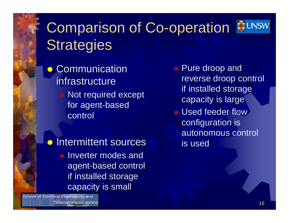### Comparison of Co-operation **Strategies**

兼 **Communication** infrastructure Not required except for agent-based control

**Intermittent sources Inverter modes and** agent-based control if installed storage capacity is small

School of Electrical Engineering and Telecommunications **● Pure droop and** reverse droop control if installed storage capacity is large **● Used feeder flow** configuration is autonomous control is used

**JUNSW**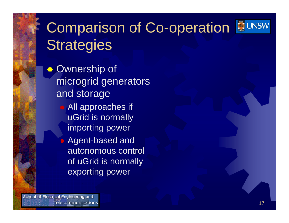### **Comparison of Co-operation BUNSW Strategies**

兼 Ownership of microgrid generators and storage All approaches if uGrid is normally importing power Ü Agent-based and autonomous control of uGrid is normally exporting power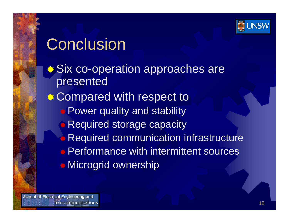

## **Conclusion**

**. Six co-operation approaches are** presented **. Compared with respect to**  Power quality and stability **Required storage capacity Required communication infrastructure ★ Performance with intermittent sources Microgrid ownership**